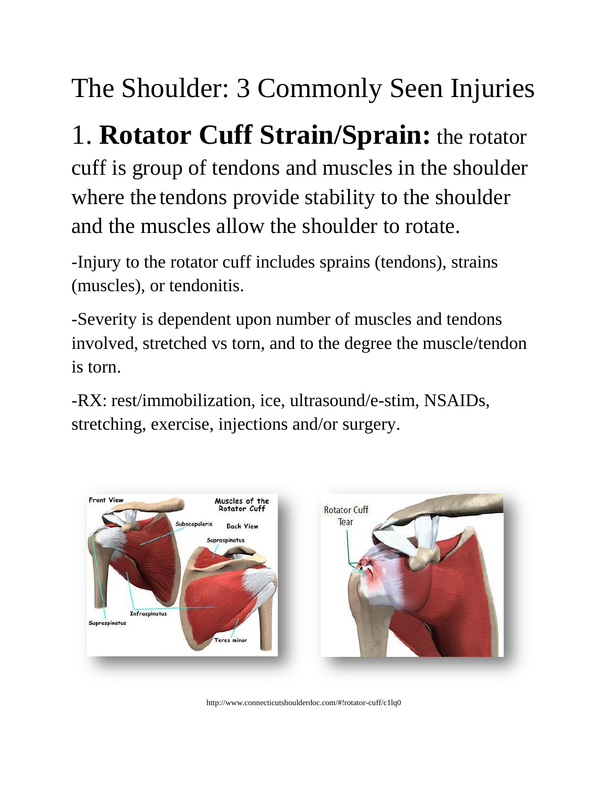## The Shoulder: 3 Commonly Seen Injuries

## 1. **Rotator Cuff Strain/Sprain:** the rotator

cuff is group of tendons and muscles in the shoulder where the tendons provide stability to the shoulder and the muscles allow the shoulder to rotate.

-Injury to the rotator cuff includes sprains (tendons), strains (muscles), or tendonitis.

-Severity is dependent upon number of muscles and tendons involved, stretched vs torn, and to the degree the muscle/tendon is torn.

-RX: rest/immobilization, ice, ultrasound/e-stim, NSAIDs, stretching, exercise, injections and/or surgery.



http://www.connecticutshoulderdoc.com/#!rotator-cuff/c1lq0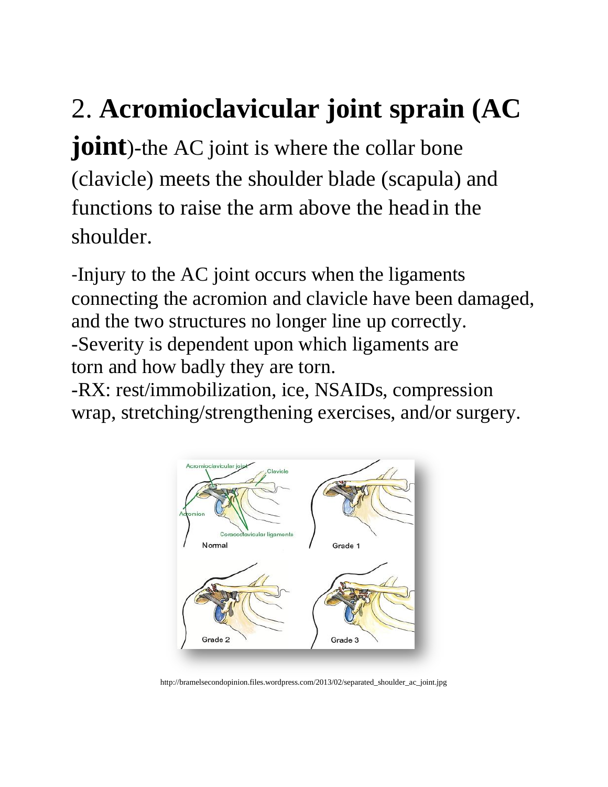## 2. **Acromioclavicular joint sprain (AC**

**joint**)-the AC joint is where the collar bone (clavicle) meets the shoulder blade (scapula) and functions to raise the arm above the headin the shoulder.

-Injury to the AC joint occurs when the ligaments connecting the acromion and clavicle have been damaged, and the two structures no longer line up correctly. -Severity is dependent upon which ligaments are torn and how badly they are torn.

-RX: rest/immobilization, ice, NSAIDs, compression wrap, stretching/strengthening exercises, and/or surgery.



http://bramelsecondopinion.files.wordpress.com/2013/02/separated\_shoulder\_ac\_joint.jpg